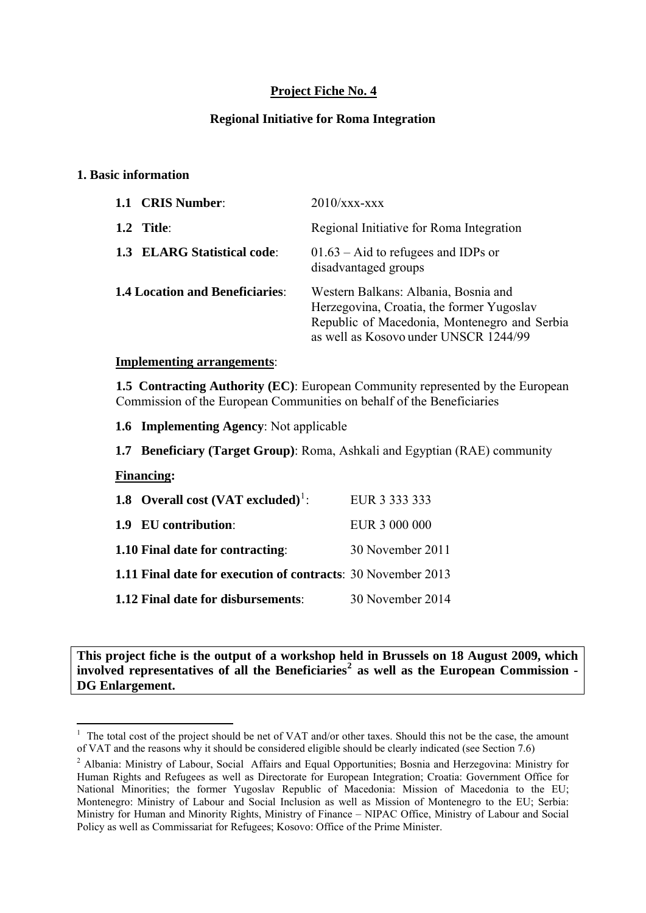# **Project Fiche No. 4**

## **Regional Initiative for Roma Integration**

### **1. Basic information**

| 1.1 CRIS Number:                       | $2010$ /xxx-xxx                                                                                                                                                            |
|----------------------------------------|----------------------------------------------------------------------------------------------------------------------------------------------------------------------------|
| $1.2$ Title:                           | Regional Initiative for Roma Integration                                                                                                                                   |
| <b>1.3 ELARG Statistical code:</b>     | $01.63 -$ Aid to refugees and IDPs or<br>disadvantaged groups                                                                                                              |
| <b>1.4 Location and Beneficiaries:</b> | Western Balkans: Albania, Bosnia and<br>Herzegovina, Croatia, the former Yugoslav<br>Republic of Macedonia, Montenegro and Serbia<br>as well as Kosovo under UNSCR 1244/99 |

#### **Implementing arrangements**:

**1.5 Contracting Authority (EC)**: European Community represented by the European Commission of the European Communities on behalf of the Beneficiaries

**1.6 Implementing Agency**: Not applicable

**1.7 Beneficiary (Target Group)**: Roma, Ashkali and Egyptian (RAE) community

#### **Financing:**

<u>.</u>

| 1.8 Overall cost $(VAT \, excluded)^1$ :                            | EUR 3 333 333    |
|---------------------------------------------------------------------|------------------|
| <b>1.9 EU contribution:</b>                                         | EUR 3 000 000    |
| <b>1.10 Final date for contracting:</b>                             | 30 November 2011 |
| <b>1.11 Final date for execution of contracts: 30 November 2013</b> |                  |
| <b>1.12 Final date for disbursements:</b>                           | 30 November 2014 |

**This project fiche is the output of a workshop held in Brussels on 18 August 2009, which involved representatives of all the Beneficiaries[2](#page-0-1) as well as the European Commission - DG Enlargement.** 

<span id="page-0-0"></span> $1$  The total cost of the project should be net of VAT and/or other taxes. Should this not be the case, the amount of VAT and the reasons why it should be considered eligible should be clearly indicated (see Section 7.6) 2

<span id="page-0-1"></span><sup>&</sup>lt;sup>2</sup> Albania: Ministry of Labour, Social Affairs and Equal Opportunities; Bosnia and Herzegovina: Ministry for Human Rights and Refugees as well as Directorate for European Integration; Croatia: Government Office for National Minorities; the former Yugoslav Republic of Macedonia: Mission of Macedonia to the EU; Montenegro: Ministry of Labour and Social Inclusion as well as Mission of Montenegro to the EU; Serbia: Ministry for Human and Minority Rights, Ministry of Finance – NIPAC Office, Ministry of Labour and Social Policy as well as Commissariat for Refugees; Kosovo: Office of the Prime Minister.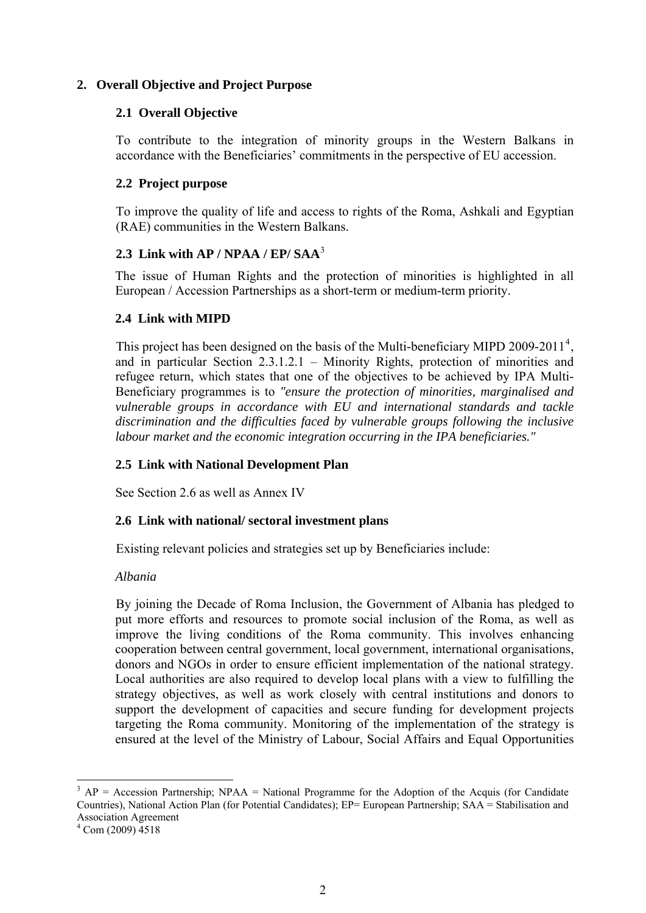# **2. Overall Objective and Project Purpose**

## **2.1 Overall Objective**

To contribute to the integration of minority groups in the Western Balkans in accordance with the Beneficiaries' commitments in the perspective of EU accession.

## **2.2 Project purpose**

To improve the quality of life and access to rights of the Roma, Ashkali and Egyptian (RAE) communities in the Western Balkans.

## **2.3 Link with AP / NPAA / EP/ SAA**[3](#page-1-0)

The issue of Human Rights and the protection of minorities is highlighted in all European / Accession Partnerships as a short-term or medium-term priority.

## **2.4 Link with MIPD**

This project has been designed on the basis of the Multi-beneficiary MIPD 2009-2011<sup>[4](#page-1-1)</sup>, and in particular Section 2.3.1.2.1 – Minority Rights, protection of minorities and refugee return, which states that one of the objectives to be achieved by IPA Multi-Beneficiary programmes is to *"ensure the protection of minorities, marginalised and vulnerable groups in accordance with EU and international standards and tackle discrimination and the difficulties faced by vulnerable groups following the inclusive labour market and the economic integration occurring in the IPA beneficiaries."*

# **2.5 Link with National Development Plan**

See Section 2.6 as well as Annex IV

#### **2.6 Link with national/ sectoral investment plans**

Existing relevant policies and strategies set up by Beneficiaries include:

#### *Albania*

By joining the Decade of Roma Inclusion, the Government of Albania has pledged to put more efforts and resources to promote social inclusion of the Roma, as well as improve the living conditions of the Roma community. This involves enhancing cooperation between central government, local government, international organisations, donors and NGOs in order to ensure efficient implementation of the national strategy. Local authorities are also required to develop local plans with a view to fulfilling the strategy objectives, as well as work closely with central institutions and donors to support the development of capacities and secure funding for development projects targeting the Roma community. Monitoring of the implementation of the strategy is ensured at the level of the Ministry of Labour, Social Affairs and Equal Opportunities

1

 $3 AP = Accession$  Partnership; NPAA = National Programme for the Adoption of the Acquis (for Candidate Countries), National Action Plan (for Potential Candidates); EP= European Partnership; SAA = Stabilisation and Association Agreement

<span id="page-1-1"></span><span id="page-1-0"></span> $4$  Com (2009)  $\overline{4}518$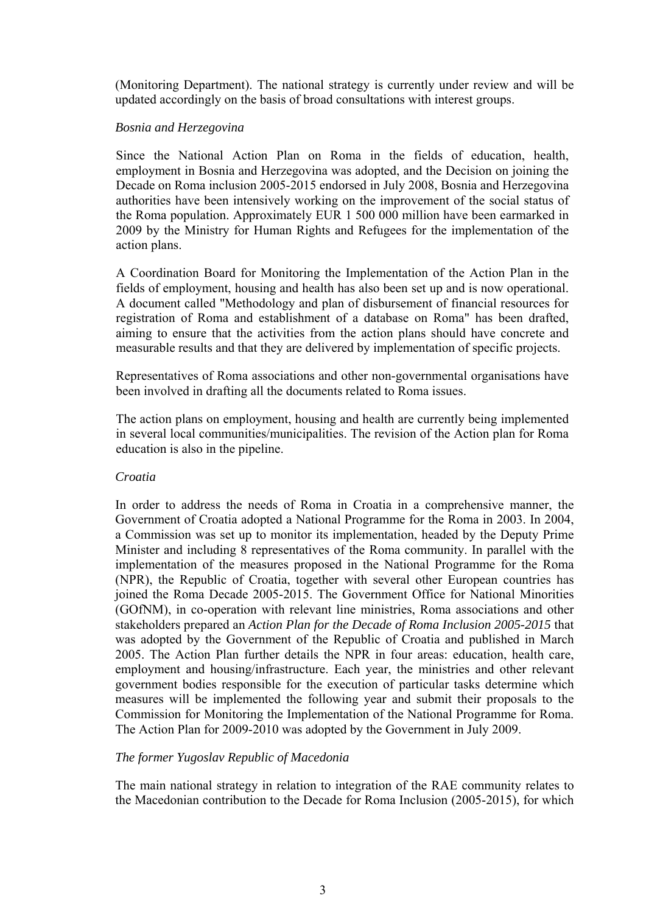(Monitoring Department). The national strategy is currently under review and will be updated accordingly on the basis of broad consultations with interest groups.

### *Bosnia and Herzegovina*

Since the National Action Plan on Roma in the fields of education, health, employment in Bosnia and Herzegovina was adopted, and the Decision on joining the Decade on Roma inclusion 2005-2015 endorsed in July 2008, Bosnia and Herzegovina authorities have been intensively working on the improvement of the social status of the Roma population. Approximately EUR 1 500 000 million have been earmarked in 2009 by the Ministry for Human Rights and Refugees for the implementation of the action plans.

A Coordination Board for Monitoring the Implementation of the Action Plan in the fields of employment, housing and health has also been set up and is now operational. A document called "Methodology and plan of disbursement of financial resources for registration of Roma and establishment of a database on Roma" has been drafted, aiming to ensure that the activities from the action plans should have concrete and measurable results and that they are delivered by implementation of specific projects.

Representatives of Roma associations and other non-governmental organisations have been involved in drafting all the documents related to Roma issues.

The action plans on employment, housing and health are currently being implemented in several local communities/municipalities. The revision of the Action plan for Roma education is also in the pipeline.

#### *Croatia*

In order to address the needs of Roma in Croatia in a comprehensive manner, the Government of Croatia adopted a National Programme for the Roma in 2003. In 2004, a Commission was set up to monitor its implementation, headed by the Deputy Prime Minister and including 8 representatives of the Roma community. In parallel with the implementation of the measures proposed in the National Programme for the Roma (NPR), the Republic of Croatia, together with several other European countries has joined the Roma Decade 2005-2015. The Government Office for National Minorities (GOfNM), in co-operation with relevant line ministries, Roma associations and other stakeholders prepared an *Action Plan for the Decade of Roma Inclusion 2005-2015* that was adopted by the Government of the Republic of Croatia and published in March 2005. The Action Plan further details the NPR in four areas: education, health care, employment and housing/infrastructure. Each year, the ministries and other relevant government bodies responsible for the execution of particular tasks determine which measures will be implemented the following year and submit their proposals to the Commission for Monitoring the Implementation of the National Programme for Roma. The Action Plan for 2009-2010 was adopted by the Government in July 2009.

# *The former Yugoslav Republic of Macedonia*

The main national strategy in relation to integration of the RAE community relates to the Macedonian contribution to the Decade for Roma Inclusion (2005-2015), for which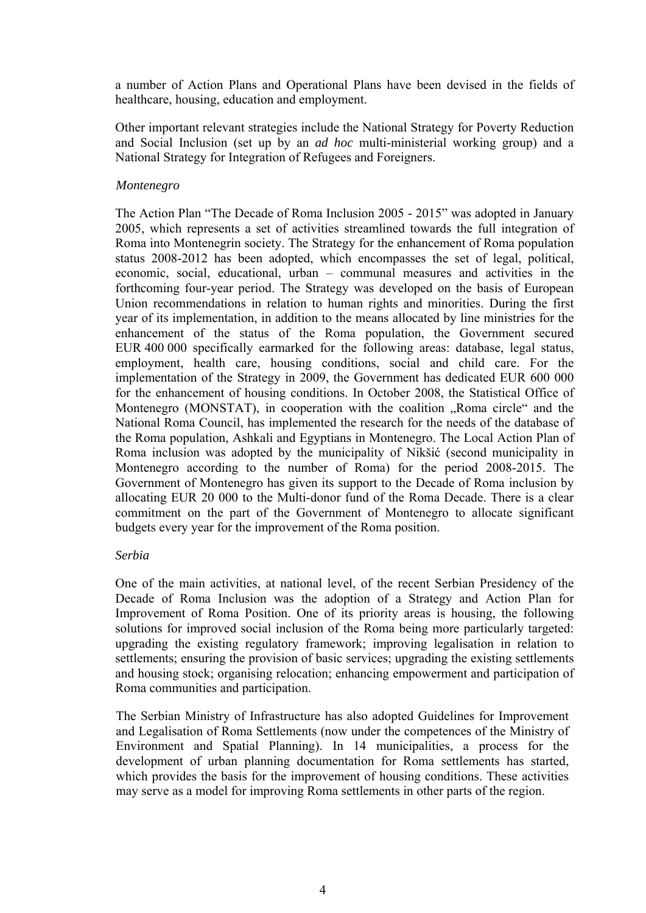a number of Action Plans and Operational Plans have been devised in the fields of healthcare, housing, education and employment.

Other important relevant strategies include the National Strategy for Poverty Reduction and Social Inclusion (set up by an *ad hoc* multi-ministerial working group) and a National Strategy for Integration of Refugees and Foreigners.

### *Montenegro*

The Action Plan "The Decade of Roma Inclusion 2005 - 2015" was adopted in January 2005, which represents a set of activities streamlined towards the full integration of Roma into Montenegrin society. The Strategy for the enhancement of Roma population status 2008-2012 has been adopted, which encompasses the set of legal, political, economic, social, educational, urban – communal measures and activities in the forthcoming four-year period. The Strategy was developed on the basis of European Union recommendations in relation to human rights and minorities. During the first year of its implementation, in addition to the means allocated by line ministries for the enhancement of the status of the Roma population, the Government secured EUR 400 000 specifically earmarked for the following areas: database, legal status, employment, health care, housing conditions, social and child care. For the implementation of the Strategy in 2009, the Government has dedicated EUR 600 000 for the enhancement of housing conditions. In October 2008, the Statistical Office of Montenegro (MONSTAT), in cooperation with the coalition "Roma circle" and the National Roma Council, has implemented the research for the needs of the database of the Roma population, Ashkali and Egyptians in Montenegro. The Local Action Plan of Roma inclusion was adopted by the municipality of Nikšić (second municipality in Montenegro according to the number of Roma) for the period 2008-2015. The Government of Montenegro has given its support to the Decade of Roma inclusion by allocating EUR 20 000 to the Multi-donor fund of the Roma Decade. There is a clear commitment on the part of the Government of Montenegro to allocate significant budgets every year for the improvement of the Roma position.

#### *Serbia*

One of the main activities, at national level, of the recent Serbian Presidency of the Decade of Roma Inclusion was the adoption of a Strategy and Action Plan for Improvement of Roma Position. One of its priority areas is housing, the following solutions for improved social inclusion of the Roma being more particularly targeted: upgrading the existing regulatory framework; improving legalisation in relation to settlements; ensuring the provision of basic services; upgrading the existing settlements and housing stock; organising relocation; enhancing empowerment and participation of Roma communities and participation.

The Serbian Ministry of Infrastructure has also adopted Guidelines for Improvement and Legalisation of Roma Settlements (now under the competences of the Ministry of Environment and Spatial Planning). In 14 municipalities, a process for the development of urban planning documentation for Roma settlements has started, which provides the basis for the improvement of housing conditions. These activities may serve as a model for improving Roma settlements in other parts of the region.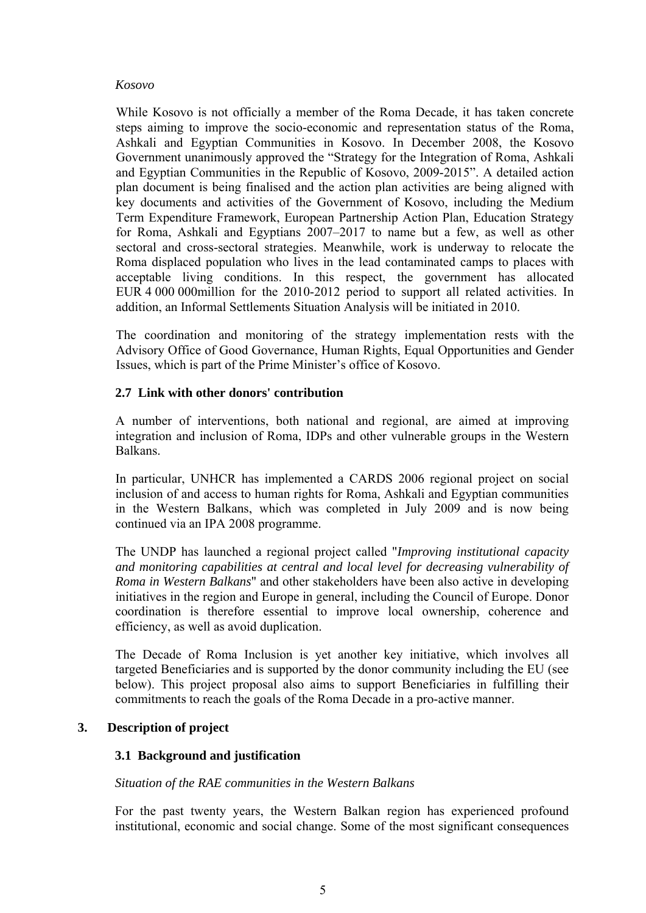#### *Kosovo*

 While Kosovo is not officially a member of the Roma Decade, it has taken concrete steps aiming to improve the socio-economic and representation status of the Roma, Ashkali and Egyptian Communities in Kosovo. In December 2008, the Kosovo Government unanimously approved the "Strategy for the Integration of Roma, Ashkali and Egyptian Communities in the Republic of Kosovo, 2009-2015". A detailed action plan document is being finalised and the action plan activities are being aligned with key documents and activities of the Government of Kosovo, including the Medium Term Expenditure Framework, European Partnership Action Plan, Education Strategy for Roma, Ashkali and Egyptians 2007–2017 to name but a few, as well as other sectoral and cross-sectoral strategies. Meanwhile, work is underway to relocate the Roma displaced population who lives in the lead contaminated camps to places with acceptable living conditions. In this respect, the government has allocated EUR 4 000 000million for the 2010-2012 period to support all related activities. In addition, an Informal Settlements Situation Analysis will be initiated in 2010.

The coordination and monitoring of the strategy implementation rests with the Advisory Office of Good Governance, Human Rights, Equal Opportunities and Gender Issues, which is part of the Prime Minister's office of Kosovo.

#### **2.7 Link with other donors' contribution**

A number of interventions, both national and regional, are aimed at improving integration and inclusion of Roma, IDPs and other vulnerable groups in the Western Balkans.

In particular, UNHCR has implemented a CARDS 2006 regional project on social inclusion of and access to human rights for Roma, Ashkali and Egyptian communities in the Western Balkans, which was completed in July 2009 and is now being continued via an IPA 2008 programme.

The UNDP has launched a regional project called "*Improving institutional capacity and monitoring capabilities at central and local level for decreasing vulnerability of Roma in Western Balkans*" and other stakeholders have been also active in developing initiatives in the region and Europe in general, including the Council of Europe. Donor coordination is therefore essential to improve local ownership, coherence and efficiency, as well as avoid duplication.

The Decade of Roma Inclusion is yet another key initiative, which involves all targeted Beneficiaries and is supported by the donor community including the EU (see below). This project proposal also aims to support Beneficiaries in fulfilling their commitments to reach the goals of the Roma Decade in a pro-active manner.

# **3. Description of project**

# **3.1 Background and justification**

#### *Situation of the RAE communities in the Western Balkans*

For the past twenty years, the Western Balkan region has experienced profound institutional, economic and social change. Some of the most significant consequences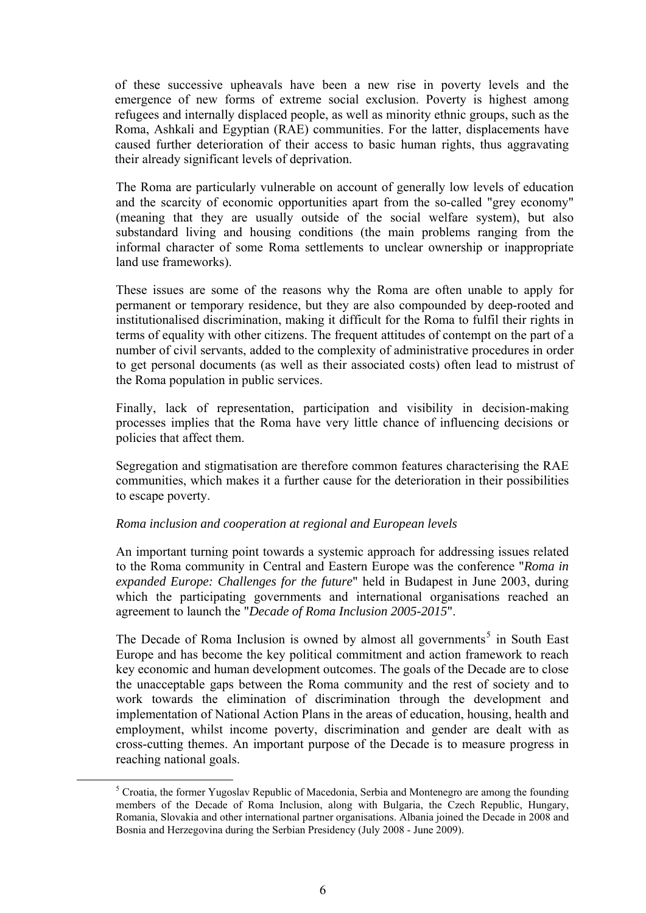of these successive upheavals have been a new rise in poverty levels and the emergence of new forms of extreme social exclusion. Poverty is highest among refugees and internally displaced people, as well as minority ethnic groups, such as the Roma, Ashkali and Egyptian (RAE) communities. For the latter, displacements have caused further deterioration of their access to basic human rights, thus aggravating their already significant levels of deprivation.

The Roma are particularly vulnerable on account of generally low levels of education and the scarcity of economic opportunities apart from the so-called "grey economy" (meaning that they are usually outside of the social welfare system), but also substandard living and housing conditions (the main problems ranging from the informal character of some Roma settlements to unclear ownership or inappropriate land use frameworks).

These issues are some of the reasons why the Roma are often unable to apply for permanent or temporary residence, but they are also compounded by deep-rooted and institutionalised discrimination, making it difficult for the Roma to fulfil their rights in terms of equality with other citizens. The frequent attitudes of contempt on the part of a number of civil servants, added to the complexity of administrative procedures in order to get personal documents (as well as their associated costs) often lead to mistrust of the Roma population in public services.

Finally, lack of representation, participation and visibility in decision-making processes implies that the Roma have very little chance of influencing decisions or policies that affect them.

Segregation and stigmatisation are therefore common features characterising the RAE communities, which makes it a further cause for the deterioration in their possibilities to escape poverty.

#### *Roma inclusion and cooperation at regional and European levels*

An important turning point towards a systemic approach for addressing issues related to the Roma community in Central and Eastern Europe was the conference "*Roma in expanded Europe: Challenges for the future*" held in Budapest in June 2003, during which the participating governments and international organisations reached an agreement to launch the "*Decade of Roma Inclusion 2005-2015*".

The Decade of Roma Inclusion is owned by almost all governments<sup>[5](#page-5-0)</sup> in South East Europe and has become the key political commitment and action framework to reach key economic and human development outcomes. The goals of the Decade are tо close the unacceptable gaps between the Roma community and the rest of society and to work towards the elimination of discrimination through the development and implementation of National Action Plans in the areas of education, housing, health and employment, whilst income poverty, discrimination and gender are dealt with as cross-cutting themes. An important purpose of the Decade is to measure progress in reaching national goals.

<span id="page-5-0"></span> $rac{1}{5}$ <sup>5</sup> Croatia, the former Yugoslav Republic of Macedonia, Serbia and Montenegro are among the founding members of the Decade of Roma Inclusion, along with Bulgaria, the Czech Republic, Hungary, Romania, Slovakia and other international partner organisations. Albania joined the Decade in 2008 and Bosnia and Herzegovina during the Serbian Presidency (July 2008 - June 2009).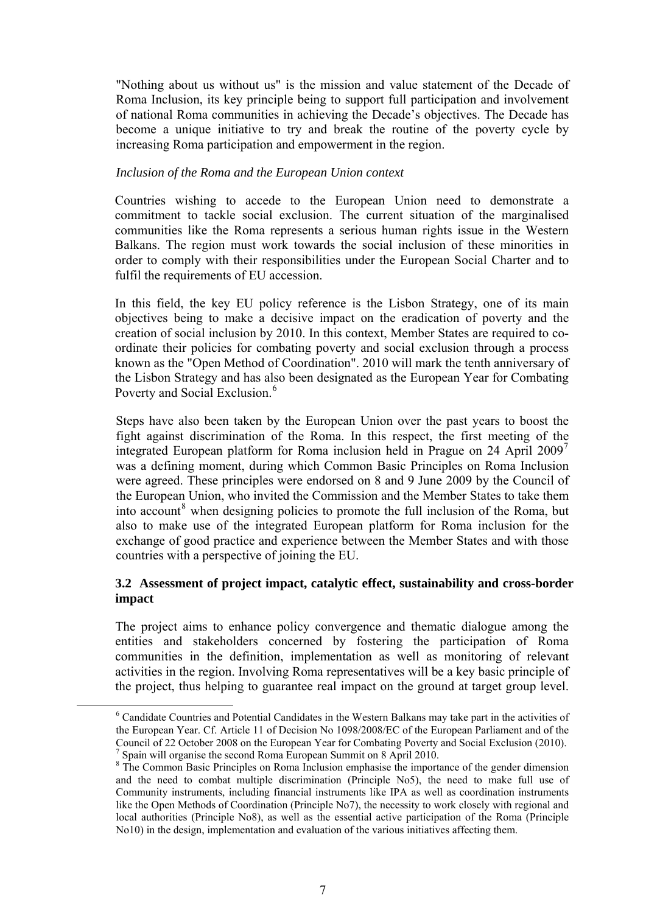<span id="page-6-0"></span>"Nothing about us without us" is the mission and value statement of the Decade of Roma Inclusion, its key principle being to support full participation and involvement of national Roma communities in achieving the Decade's objectives. The Decade has become a unique initiative to try and break the routine of the poverty cycle by increasing Roma participation and empowerment in the region.

#### *Inclusion of the Roma and the European Union context*

Countries wishing to accede to the European Union need to demonstrate a commitment to tackle social exclusion. The current situation of the marginalised communities like the Roma represents a serious human rights issue in the Western Balkans. The region must work towards the social inclusion of these minorities in order to comply with their responsibilities under the European Social Charter and to fulfil the requirements of EU accession.

In this field, the key EU policy reference is the Lisbon Strategy, one of its main objectives being to make a decisive impact on the eradication of poverty and the creation of social inclusion by 2010. In this context, Member States are required to coordinate their policies for combating poverty and social exclusion through a process known as the "Open Method of Coordination". 2010 will mark the tenth anniversary of the Lisbon Strategy and has also been designated as the European Year for Combating Poverty and Social Exclusion.<sup>[6](#page-6-0)</sup>

Steps have also been taken by the European Union over the past years to boost the fight against discrimination of the Roma. In this respect, the first meeting of the integrated European platform for Roma inclusion held in Prague on 24 April 2009<sup>[7](#page-6-0)</sup> was a defining moment, during which Common Basic Principles on Roma Inclusion were agreed. These principles were endorsed on 8 and 9 June 2009 by the Council of the European Union, who invited the Commission and the Member States to take them into account<sup>[8](#page-6-0)</sup> when designing policies to promote the full inclusion of the Roma, but also to make use of the integrated European platform for Roma inclusion for the exchange of good practice and experience between the Member States and with those countries with a perspective of joining the EU.

# **3.2 Assessment of project impact, catalytic effect, sustainability and cross-border impact**

The project aims to enhance policy convergence and thematic dialogue among the entities and stakeholders concerned by fostering the participation of Roma communities in the definition, implementation as well as monitoring of relevant activities in the region. Involving Roma representatives will be a key basic principle of the project, thus helping to guarantee real impact on the ground at target group level.

 $\begin{array}{c|c}\n\hline\n\text{6}\n\end{array}$  Candidate Countries and Potential Candidates in the Western Balkans may take part in the activities of the European Year. Cf. Article 11 of Decision No 1098/2008/EC of the European Parliament and of the Council of 22 October 2008 on the European Year for Combating Poverty and Social Exclusion (2010). <sup>7</sup> Spain will organise the second Roma European Summit on 8 April 2010.

<sup>&</sup>lt;sup>8</sup> The Common Basic Principles on Roma Inclusion emphasise the importance of the gender dimension and the need to combat multiple discrimination (Principle No5), the need to make full use of Community instruments, including financial instruments like IPA as well as coordination instruments like the Open Methods of Coordination (Principle No7), the necessity to work closely with regional and local authorities (Principle No8), as well as the essential active participation of the Roma (Principle No10) in the design, implementation and evaluation of the various initiatives affecting them.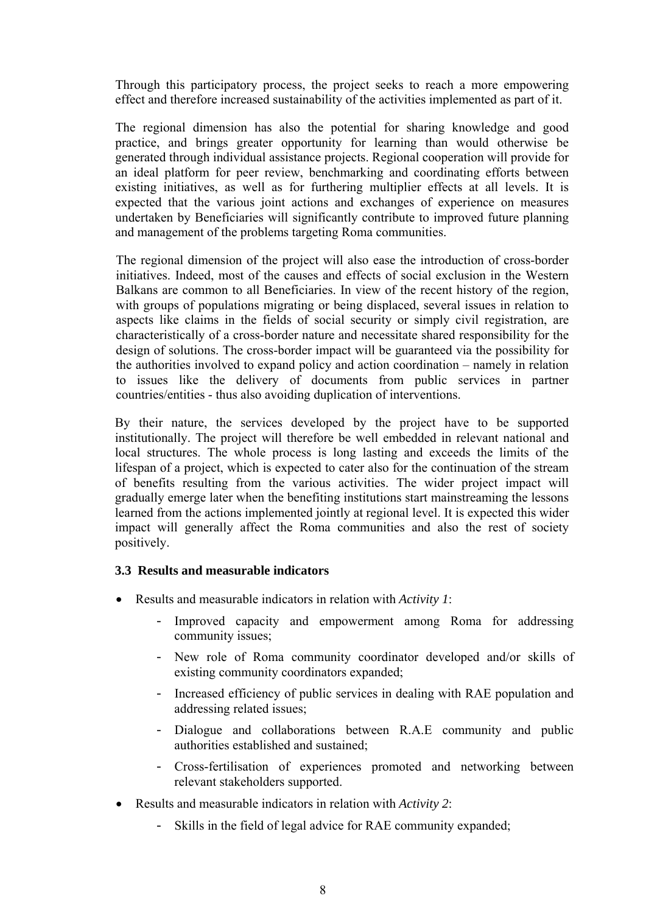Through this participatory process, the project seeks to reach a more empowering effect and therefore increased sustainability of the activities implemented as part of it.

The regional dimension has also the potential for sharing knowledge and good practice, and brings greater opportunity for learning than would otherwise be generated through individual assistance projects. Regional cooperation will provide for an ideal platform for peer review, benchmarking and coordinating efforts between existing initiatives, as well as for furthering multiplier effects at all levels. It is expected that the various joint actions and exchanges of experience on measures undertaken by Beneficiaries will significantly contribute to improved future planning and management of the problems targeting Roma communities.

The regional dimension of the project will also ease the introduction of cross-border initiatives. Indeed, most of the causes and effects of social exclusion in the Western Balkans are common to all Beneficiaries. In view of the recent history of the region, with groups of populations migrating or being displaced, several issues in relation to aspects like claims in the fields of social security or simply civil registration, are characteristically of a cross-border nature and necessitate shared responsibility for the design of solutions. The cross-border impact will be guaranteed via the possibility for the authorities involved to expand policy and action coordination – namely in relation to issues like the delivery of documents from public services in partner countries/entities - thus also avoiding duplication of interventions.

By their nature, the services developed by the project have to be supported institutionally. The project will therefore be well embedded in relevant national and local structures. The whole process is long lasting and exceeds the limits of the lifespan of a project, which is expected to cater also for the continuation of the stream of benefits resulting from the various activities. The wider project impact will gradually emerge later when the benefiting institutions start mainstreaming the lessons learned from the actions implemented jointly at regional level. It is expected this wider impact will generally affect the Roma communities and also the rest of society positively.

#### **3.3 Results and measurable indicators**

- Results and measurable indicators in relation with *Activity 1*:
	- Improved capacity and empowerment among Roma for addressing community issues;
	- New role of Roma community coordinator developed and/or skills of existing community coordinators expanded;
	- Increased efficiency of public services in dealing with RAE population and addressing related issues;
	- Dialogue and collaborations between R.A.E community and public authorities established and sustained;
	- Cross-fertilisation of experiences promoted and networking between relevant stakeholders supported.
- Results and measurable indicators in relation with *Activity 2*:
	- Skills in the field of legal advice for RAE community expanded;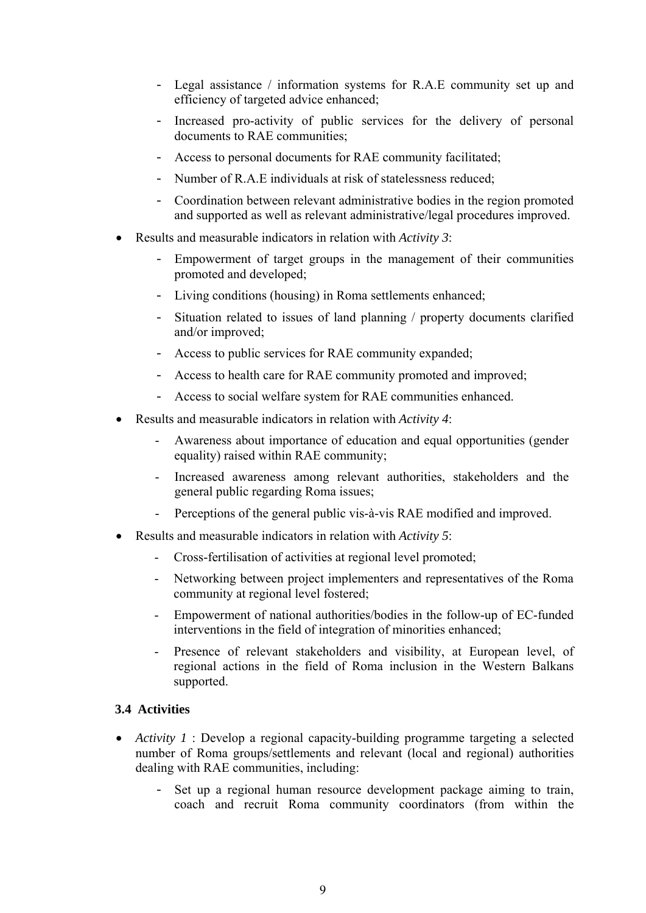- Legal assistance / information systems for R.A.E community set up and efficiency of targeted advice enhanced;
- Increased pro-activity of public services for the delivery of personal documents to RAE communities;
- Access to personal documents for RAE community facilitated;
- Number of R.A.E individuals at risk of statelessness reduced;
- Coordination between relevant administrative bodies in the region promoted and supported as well as relevant administrative/legal procedures improved.
- Results and measurable indicators in relation with *Activity 3*:
	- Empowerment of target groups in the management of their communities promoted and developed;
	- Living conditions (housing) in Roma settlements enhanced;
	- Situation related to issues of land planning / property documents clarified and/or improved;
	- Access to public services for RAE community expanded;
	- Access to health care for RAE community promoted and improved;
	- Access to social welfare system for RAE communities enhanced.
- Results and measurable indicators in relation with *Activity 4*:
	- Awareness about importance of education and equal opportunities (gender equality) raised within RAE community;
	- Increased awareness among relevant authorities, stakeholders and the general public regarding Roma issues;
	- Perceptions of the general public vis-à-vis RAE modified and improved.
- Results and measurable indicators in relation with *Activity 5*:
	- Cross-fertilisation of activities at regional level promoted;
	- Networking between project implementers and representatives of the Roma community at regional level fostered;
	- Empowerment of national authorities/bodies in the follow-up of EC-funded interventions in the field of integration of minorities enhanced;
	- Presence of relevant stakeholders and visibility, at European level, of regional actions in the field of Roma inclusion in the Western Balkans supported.

# **3.4 Activities**

- *Activity 1* : Develop a regional capacity-building programme targeting a selected number of Roma groups/settlements and relevant (local and regional) authorities dealing with RAE communities, including:
	- Set up a regional human resource development package aiming to train, coach and recruit Roma community coordinators (from within the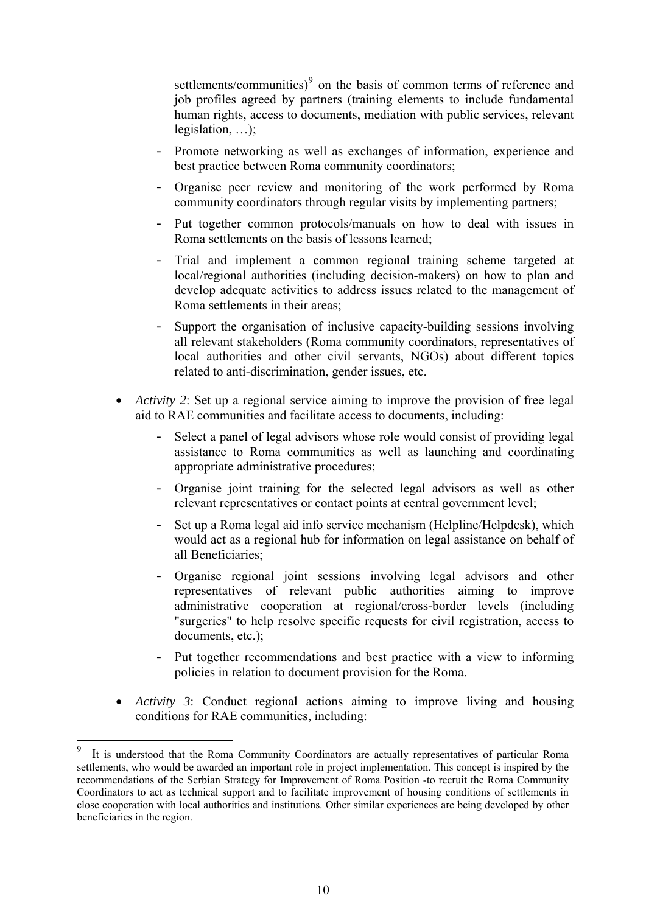settlements/communities) $\degree$  on the basis of common terms of reference and job profiles agreed by partners (training elements to include fundamental human rights, access to documents, mediation with public services, relevant legislation, …);

- Promote networking as well as exchanges of information, experience and best practice between Roma community coordinators;
- Organise peer review and monitoring of the work performed by Roma community coordinators through regular visits by implementing partners;
- Put together common protocols/manuals on how to deal with issues in Roma settlements on the basis of lessons learned;
- Trial and implement a common regional training scheme targeted at local/regional authorities (including decision-makers) on how to plan and develop adequate activities to address issues related to the management of Roma settlements in their areas;
- Support the organisation of inclusive capacity-building sessions involving all relevant stakeholders (Roma community coordinators, representatives of local authorities and other civil servants, NGOs) about different topics related to anti-discrimination, gender issues, etc.
- *Activity 2*: Set up a regional service aiming to improve the provision of free legal aid to RAE communities and facilitate access to documents, including:
	- Select a panel of legal advisors whose role would consist of providing legal assistance to Roma communities as well as launching and coordinating appropriate administrative procedures;
	- Organise joint training for the selected legal advisors as well as other relevant representatives or contact points at central government level;
	- Set up a Roma legal aid info service mechanism (Helpline/Helpdesk), which would act as a regional hub for information on legal assistance on behalf of all Beneficiaries;
	- Organise regional joint sessions involving legal advisors and other representatives of relevant public authorities aiming to improve administrative cooperation at regional/cross-border levels (including "surgeries" to help resolve specific requests for civil registration, access to documents, etc.);
	- Put together recommendations and best practice with a view to informing policies in relation to document provision for the Roma.
- *Activity 3*: Conduct regional actions aiming to improve living and housing conditions for RAE communities, including:

1

<sup>9</sup> It is understood that the Roma Community Coordinators are actually representatives of particular Roma settlements, who would be awarded an important role in project implementation. This concept is inspired by the recommendations of the Serbian Strategy for Improvement of Roma Position -to recruit the Roma Community Coordinators to act as technical support and to facilitate improvement of housing conditions of settlements in close cooperation with local authorities and institutions. Other similar experiences are being developed by other beneficiaries in the region.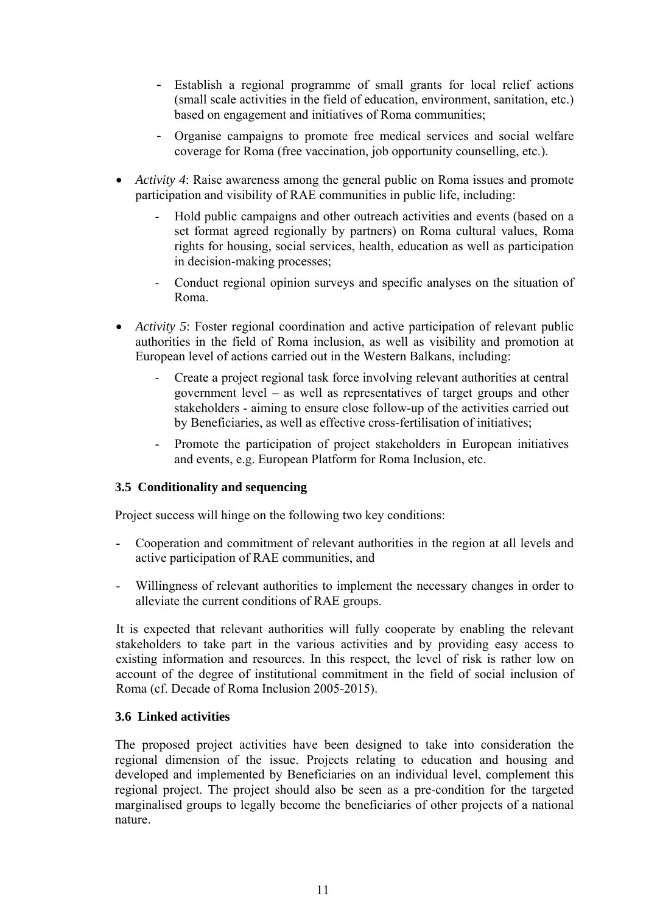- Establish a regional programme of small grants for local relief actions (small scale activities in the field of education, environment, sanitation, etc.) based on engagement and initiatives of Roma communities;
- Organise campaigns to promote free medical services and social welfare coverage for Roma (free vaccination, job opportunity counselling, etc.).
- *Activity 4*: Raise awareness among the general public on Roma issues and promote participation and visibility of RAE communities in public life, including:
	- Hold public campaigns and other outreach activities and events (based on a set format agreed regionally by partners) on Roma cultural values, Roma rights for housing, social services, health, education as well as participation in decision-making processes;
	- Conduct regional opinion surveys and specific analyses on the situation of Roma.
- *Activity 5*: Foster regional coordination and active participation of relevant public authorities in the field of Roma inclusion, as well as visibility and promotion at European level of actions carried out in the Western Balkans, including:
	- Create a project regional task force involving relevant authorities at central government level – as well as representatives of target groups and other stakeholders - aiming to ensure close follow-up of the activities carried out by Beneficiaries, as well as effective cross-fertilisation of initiatives;
	- Promote the participation of project stakeholders in European initiatives and events, e.g. European Platform for Roma Inclusion, etc.

# **3.5 Conditionality and sequencing**

Project success will hinge on the following two key conditions:

- Cooperation and commitment of relevant authorities in the region at all levels and active participation of RAE communities, and
- Willingness of relevant authorities to implement the necessary changes in order to alleviate the current conditions of RAE groups.

It is expected that relevant authorities will fully cooperate by enabling the relevant stakeholders to take part in the various activities and by providing easy access to existing information and resources. In this respect, the level of risk is rather low on account of the degree of institutional commitment in the field of social inclusion of Roma (cf. Decade of Roma Inclusion 2005-2015).

#### **3.6 Linked activities**

The proposed project activities have been designed to take into consideration the regional dimension of the issue. Projects relating to education and housing and developed and implemented by Beneficiaries on an individual level, complement this regional project. The project should also be seen as a pre-condition for the targeted marginalised groups to legally become the beneficiaries of other projects of a national nature.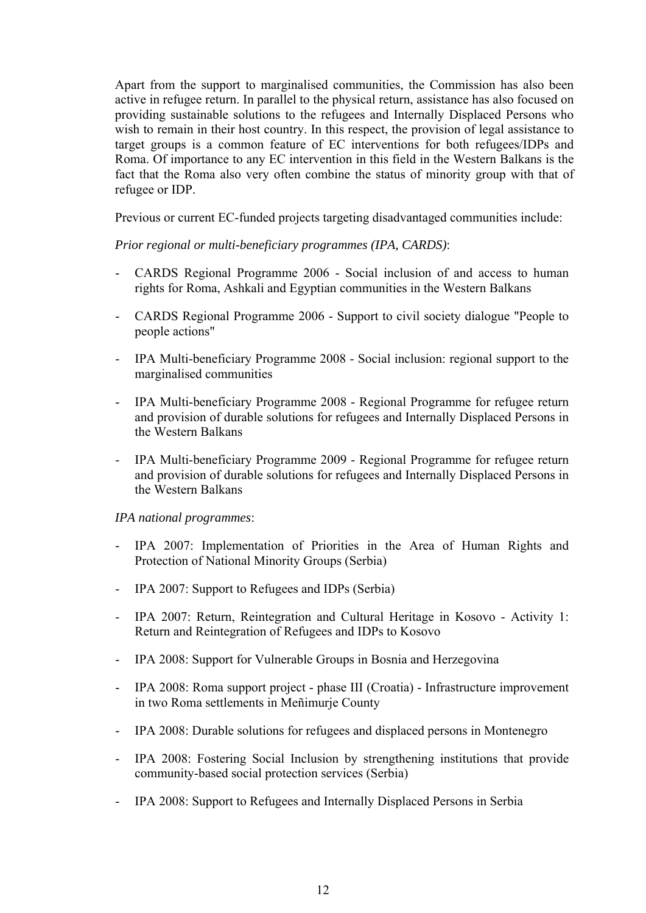Apart from the support to marginalised communities, the Commission has also been active in refugee return. In parallel to the physical return, assistance has also focused on providing sustainable solutions to the refugees and Internally Displaced Persons who wish to remain in their host country. In this respect, the provision of legal assistance to target groups is a common feature of EC interventions for both refugees/IDPs and Roma. Of importance to any EC intervention in this field in the Western Balkans is the fact that the Roma also very often combine the status of minority group with that of refugee or IDP.

Previous or current EC-funded projects targeting disadvantaged communities include:

*Prior regional or multi-beneficiary programmes (IPA, CARDS)*:

- CARDS Regional Programme 2006 Social inclusion of and access to human rights for Roma, Ashkali and Egyptian communities in the Western Balkans
- CARDS Regional Programme 2006 Support to civil society dialogue "People to people actions"
- IPA Multi-beneficiary Programme 2008 Social inclusion: regional support to the marginalised communities
- IPA Multi-beneficiary Programme 2008 Regional Programme for refugee return and provision of durable solutions for refugees and Internally Displaced Persons in the Western Balkans
- IPA Multi-beneficiary Programme 2009 Regional Programme for refugee return and provision of durable solutions for refugees and Internally Displaced Persons in the Western Balkans

#### *IPA national programmes*:

- IPA 2007: Implementation of Priorities in the Area of Human Rights and Protection of National Minority Groups (Serbia)
- IPA 2007: Support to Refugees and IDPs (Serbia)
- IPA 2007: Return, Reintegration and Cultural Heritage in Kosovo Activity 1: Return and Reintegration of Refugees and IDPs to Kosovo
- IPA 2008: Support for Vulnerable Groups in Bosnia and Herzegovina
- IPA 2008: Roma support project phase III (Croatia) Infrastructure improvement in two Roma settlements in Meñimurje County
- IPA 2008: Durable solutions for refugees and displaced persons in Montenegro
- IPA 2008: Fostering Social Inclusion by strengthening institutions that provide community-based social protection services (Serbia)
- IPA 2008: Support to Refugees and Internally Displaced Persons in Serbia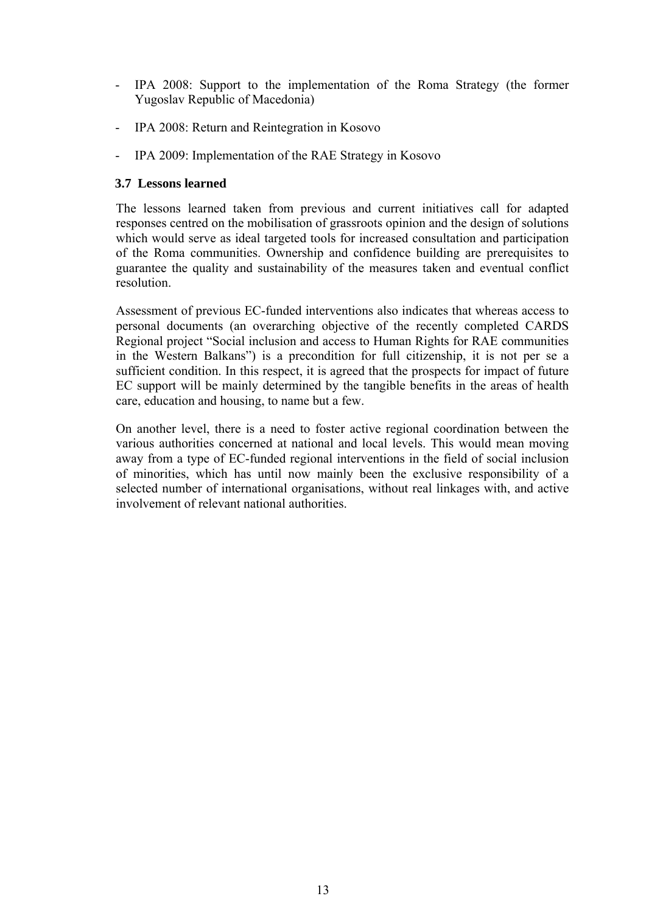- IPA 2008: Support to the implementation of the Roma Strategy (the former Yugoslav Republic of Macedonia)
- IPA 2008: Return and Reintegration in Kosovo
- IPA 2009: Implementation of the RAE Strategy in Kosovo

# **3.7 Lessons learned**

The lessons learned taken from previous and current initiatives call for adapted responses centred on the mobilisation of grassroots opinion and the design of solutions which would serve as ideal targeted tools for increased consultation and participation of the Roma communities. Ownership and confidence building are prerequisites to guarantee the quality and sustainability of the measures taken and eventual conflict resolution.

Assessment of previous EC-funded interventions also indicates that whereas access to personal documents (an overarching objective of the recently completed CARDS Regional project "Social inclusion and access to Human Rights for RAE communities in the Western Balkans") is a precondition for full citizenship, it is not per se a sufficient condition. In this respect, it is agreed that the prospects for impact of future EC support will be mainly determined by the tangible benefits in the areas of health care, education and housing, to name but a few.

On another level, there is a need to foster active regional coordination between the various authorities concerned at national and local levels. This would mean moving away from a type of EC-funded regional interventions in the field of social inclusion of minorities, which has until now mainly been the exclusive responsibility of a selected number of international organisations, without real linkages with, and active involvement of relevant national authorities.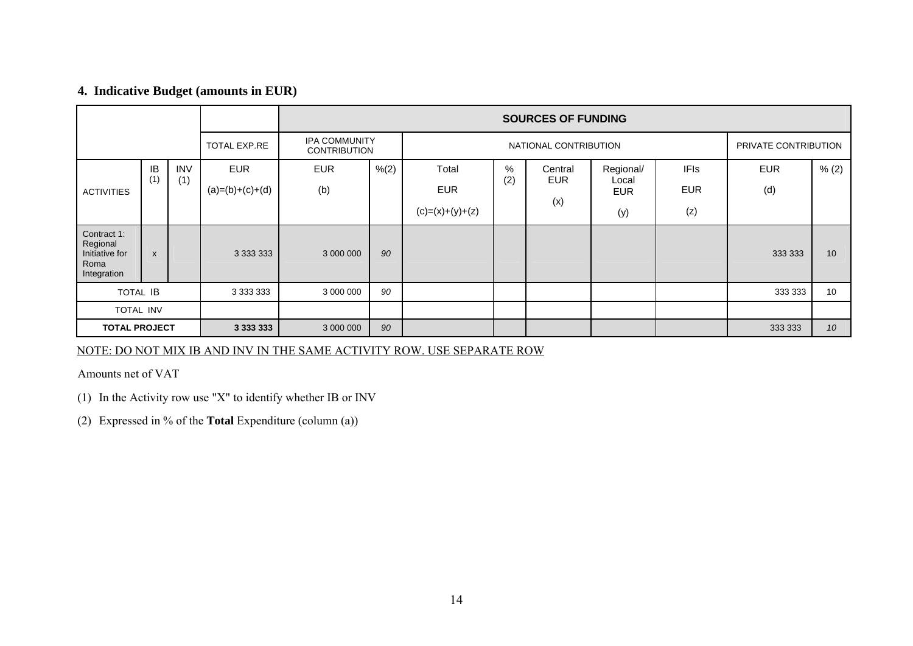## **4. Indicative Budget (amounts in EUR)**

|                                                                  |              |            |                   |            |                                                                      |                   |     | <b>SOURCES OF FUNDING</b> |                     |             |            |                      |
|------------------------------------------------------------------|--------------|------------|-------------------|------------|----------------------------------------------------------------------|-------------------|-----|---------------------------|---------------------|-------------|------------|----------------------|
|                                                                  |              |            | TOTAL EXP.RE      |            | <b>IPA COMMUNITY</b><br>NATIONAL CONTRIBUTION<br><b>CONTRIBUTION</b> |                   |     |                           |                     |             |            | PRIVATE CONTRIBUTION |
|                                                                  | IB           | <b>INV</b> | <b>EUR</b>        | <b>EUR</b> | % (2)                                                                | Total             | %   | Central                   | Regional/           | <b>IFIs</b> | <b>EUR</b> | % (2)                |
| <b>ACTIVITIES</b>                                                | (1)          | (1)        | $(a)=(b)+(c)+(d)$ | (b)        |                                                                      | <b>EUR</b>        | (2) | <b>EUR</b>                | Local<br><b>EUR</b> | <b>EUR</b>  | (d)        |                      |
|                                                                  |              |            |                   |            |                                                                      | $(c)=(x)+(y)+(z)$ |     | (x)                       | (y)                 | (z)         |            |                      |
| Contract 1:<br>Regional<br>Initiative for<br>Roma<br>Integration | $\mathsf{x}$ |            |                   | 3 000 000  | 90                                                                   |                   |     |                           |                     |             | 333 333    | 10                   |
| <b>TOTAL IB</b>                                                  |              |            |                   | 3 000 000  | 90                                                                   |                   |     |                           |                     |             | 333 333    | 10                   |
| <b>TOTAL INV</b>                                                 |              |            |                   |            |                                                                      |                   |     |                           |                     |             |            |                      |
| <b>TOTAL PROJECT</b>                                             |              |            |                   | 3 000 000  | 90                                                                   |                   |     |                           |                     |             | 333 333    | 10 <sup>1</sup>      |

NOTE: DO NOT MIX IB AND INV IN THE SAME ACTIVITY ROW. USE SEPARATE ROW

Amounts net of VAT

(1) In the Activity row use "X" to identify whether IB or INV

(2) Expressed in % of the **Total** Expenditure (column (a))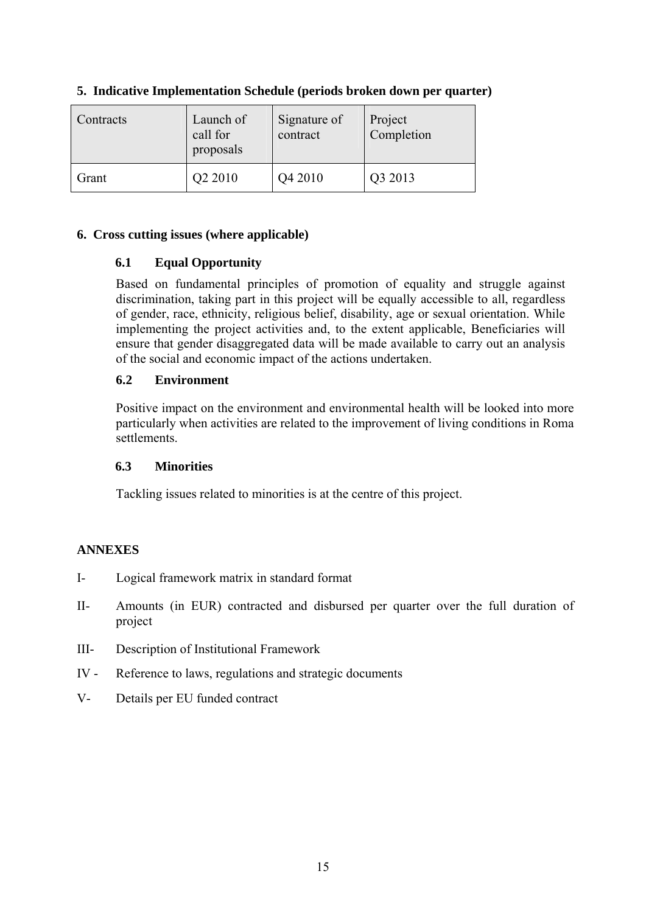| Contracts | Launch of<br>call for<br>proposals | Signature of<br>contract | Project<br>Completion |
|-----------|------------------------------------|--------------------------|-----------------------|
| Grant     | Q2 2010                            | Q4 2010                  | Q3 2013               |

# **5. Indicative Implementation Schedule (periods broken down per quarter)**

# **6. Cross cutting issues (where applicable)**

# **6.1 Equal Opportunity**

Based on fundamental principles of promotion of equality and struggle against discrimination, taking part in this project will be equally accessible to all, regardless of gender, race, ethnicity, religious belief, disability, age or sexual orientation. While implementing the project activities and, to the extent applicable, Beneficiaries will ensure that gender disaggregated data will be made available to carry out an analysis of the social and economic impact of the actions undertaken.

# **6.2 Environment**

Positive impact on the environment and environmental health will be looked into more particularly when activities are related to the improvement of living conditions in Roma settlements.

# **6.3 Minorities**

Tackling issues related to minorities is at the centre of this project.

# **ANNEXES**

- I- Logical framework matrix in standard format
- II- Amounts (in EUR) contracted and disbursed per quarter over the full duration of project
- III- Description of Institutional Framework
- IV Reference to laws, regulations and strategic documents
- V- Details per EU funded contract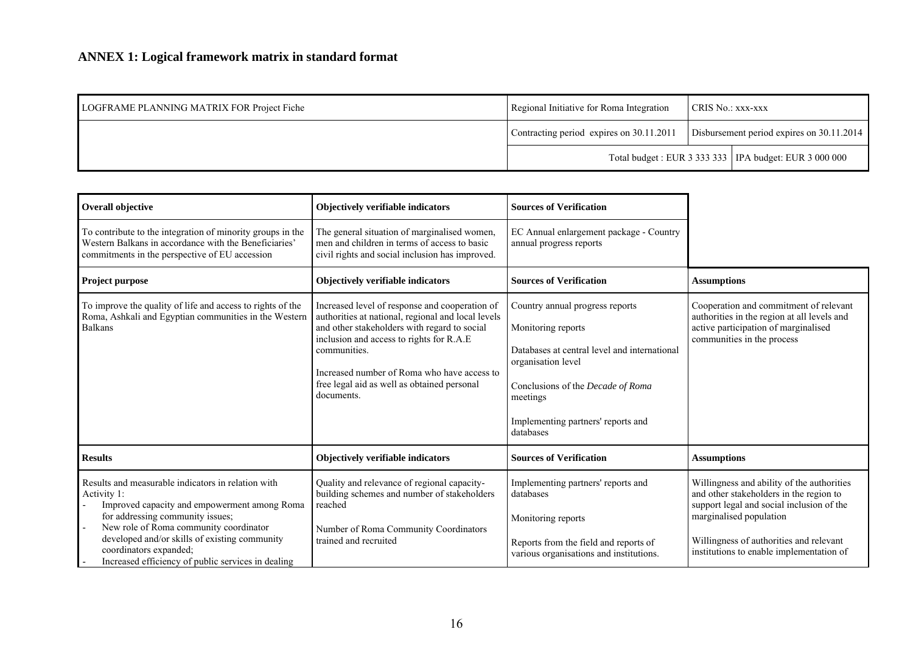| LOGFRAME PLANNING MATRIX FOR Project Fiche | Regional Initiative for Roma Integration | <b>CRIS No.: xxx-xxx</b>                  |                                                          |
|--------------------------------------------|------------------------------------------|-------------------------------------------|----------------------------------------------------------|
|                                            | Contracting period expires on 30.11.2011 | Disbursement period expires on 30.11.2014 |                                                          |
|                                            |                                          |                                           | Total budget : EUR 3 333 333   IPA budget: EUR 3 000 000 |

| Overall objective                                                                                                                                                                                                                                                                                                                | Objectively verifiable indicators                                                                                                                                                                                                                                                                                            | <b>Sources of Verification</b>                                                                                                                                                                                                  |                                                                                                                                                                                                                                                      |
|----------------------------------------------------------------------------------------------------------------------------------------------------------------------------------------------------------------------------------------------------------------------------------------------------------------------------------|------------------------------------------------------------------------------------------------------------------------------------------------------------------------------------------------------------------------------------------------------------------------------------------------------------------------------|---------------------------------------------------------------------------------------------------------------------------------------------------------------------------------------------------------------------------------|------------------------------------------------------------------------------------------------------------------------------------------------------------------------------------------------------------------------------------------------------|
| To contribute to the integration of minority groups in the<br>Western Balkans in accordance with the Beneficiaries'<br>commitments in the perspective of EU accession                                                                                                                                                            | The general situation of marginalised women,<br>men and children in terms of access to basic<br>civil rights and social inclusion has improved.                                                                                                                                                                              | EC Annual enlargement package - Country<br>annual progress reports                                                                                                                                                              |                                                                                                                                                                                                                                                      |
| Project purpose                                                                                                                                                                                                                                                                                                                  | Objectively verifiable indicators                                                                                                                                                                                                                                                                                            | <b>Sources of Verification</b>                                                                                                                                                                                                  | <b>Assumptions</b>                                                                                                                                                                                                                                   |
| To improve the quality of life and access to rights of the<br>Roma, Ashkali and Egyptian communities in the Western<br><b>Balkans</b>                                                                                                                                                                                            | Increased level of response and cooperation of<br>authorities at national, regional and local levels<br>and other stakeholders with regard to social<br>inclusion and access to rights for R.A.E<br>communities.<br>Increased number of Roma who have access to<br>free legal aid as well as obtained personal<br>documents. | Country annual progress reports<br>Monitoring reports<br>Databases at central level and international<br>organisation level<br>Conclusions of the Decade of Roma<br>meetings<br>Implementing partners' reports and<br>databases | Cooperation and commitment of relevant<br>authorities in the region at all levels and<br>active participation of marginalised<br>communities in the process                                                                                          |
| <b>Results</b>                                                                                                                                                                                                                                                                                                                   | Objectively verifiable indicators                                                                                                                                                                                                                                                                                            | <b>Sources of Verification</b>                                                                                                                                                                                                  | <b>Assumptions</b>                                                                                                                                                                                                                                   |
| Results and measurable indicators in relation with<br>Activity 1:<br>Improved capacity and empowerment among Roma<br>for addressing community issues;<br>New role of Roma community coordinator<br>developed and/or skills of existing community<br>coordinators expanded;<br>Increased efficiency of public services in dealing | Quality and relevance of regional capacity-<br>building schemes and number of stakeholders<br>reached<br>Number of Roma Community Coordinators<br>trained and recruited                                                                                                                                                      | Implementing partners' reports and<br>databases<br>Monitoring reports<br>Reports from the field and reports of<br>various organisations and institutions.                                                                       | Willingness and ability of the authorities<br>and other stakeholders in the region to<br>support legal and social inclusion of the<br>marginalised population<br>Willingness of authorities and relevant<br>institutions to enable implementation of |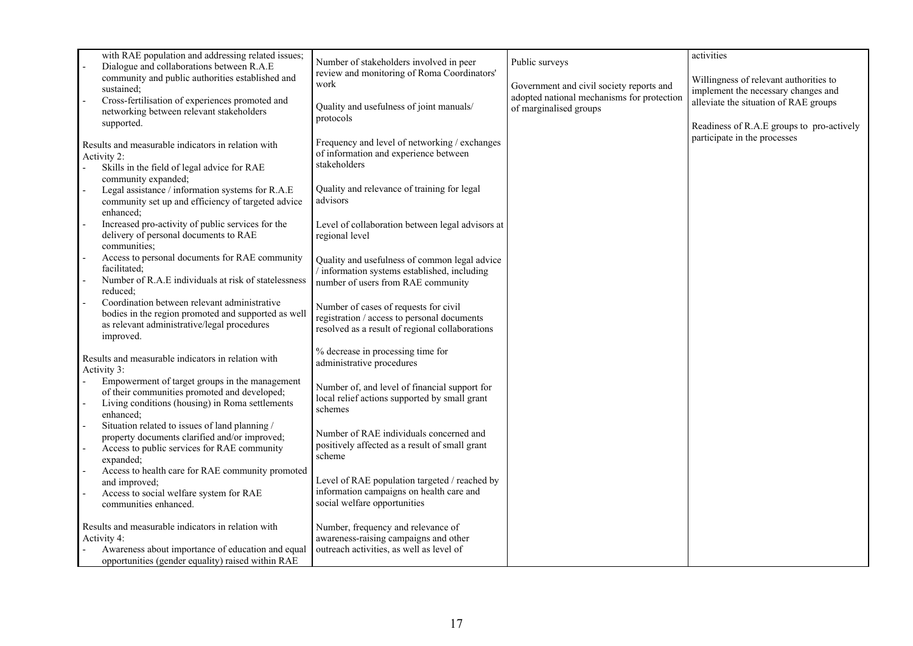|        | with RAE population and addressing related issues;<br>Dialogue and collaborations between R.A.E                                                                             | Number of stakeholders involved in peer                                                                                                 | Public surveys                                                       | activities                                                                   |
|--------|-----------------------------------------------------------------------------------------------------------------------------------------------------------------------------|-----------------------------------------------------------------------------------------------------------------------------------------|----------------------------------------------------------------------|------------------------------------------------------------------------------|
|        | community and public authorities established and<br>sustained:                                                                                                              | review and monitoring of Roma Coordinators'<br>work                                                                                     | Government and civil society reports and                             | Willingness of relevant authorities to                                       |
|        | Cross-fertilisation of experiences promoted and                                                                                                                             | Quality and usefulness of joint manuals/                                                                                                | adopted national mechanisms for protection<br>of marginalised groups | implement the necessary changes and<br>alleviate the situation of RAE groups |
|        | networking between relevant stakeholders<br>supported.                                                                                                                      | protocols                                                                                                                               |                                                                      | Readiness of R.A.E groups to pro-actively                                    |
| $\sim$ | Results and measurable indicators in relation with<br>Activity 2:<br>Skills in the field of legal advice for RAE<br>community expanded;                                     | Frequency and level of networking / exchanges<br>of information and experience between<br>stakeholders                                  |                                                                      | participate in the processes                                                 |
|        | Legal assistance / information systems for R.A.E<br>community set up and efficiency of targeted advice<br>enhanced:                                                         | Quality and relevance of training for legal<br>advisors                                                                                 |                                                                      |                                                                              |
|        | Increased pro-activity of public services for the<br>delivery of personal documents to RAE<br>communities;                                                                  | Level of collaboration between legal advisors at<br>regional level                                                                      |                                                                      |                                                                              |
|        | Access to personal documents for RAE community<br>facilitated:                                                                                                              | Quality and usefulness of common legal advice<br>information systems established, including                                             |                                                                      |                                                                              |
|        | Number of R.A.E individuals at risk of statelessness<br>reduced;                                                                                                            | number of users from RAE community                                                                                                      |                                                                      |                                                                              |
|        | Coordination between relevant administrative<br>bodies in the region promoted and supported as well<br>as relevant administrative/legal procedures<br>improved.             | Number of cases of requests for civil<br>registration / access to personal documents<br>resolved as a result of regional collaborations |                                                                      |                                                                              |
|        | Results and measurable indicators in relation with<br>Activity 3:                                                                                                           | % decrease in processing time for<br>administrative procedures                                                                          |                                                                      |                                                                              |
|        | Empowerment of target groups in the management<br>of their communities promoted and developed;<br>Living conditions (housing) in Roma settlements<br>enhanced;              | Number of, and level of financial support for<br>local relief actions supported by small grant<br>schemes                               |                                                                      |                                                                              |
|        | Situation related to issues of land planning /<br>property documents clarified and/or improved;<br>Access to public services for RAE community<br>expanded;                 | Number of RAE individuals concerned and<br>positively affected as a result of small grant<br>scheme                                     |                                                                      |                                                                              |
|        | Access to health care for RAE community promoted<br>and improved;<br>Access to social welfare system for RAE<br>communities enhanced.                                       | Level of RAE population targeted / reached by<br>information campaigns on health care and<br>social welfare opportunities               |                                                                      |                                                                              |
|        | Results and measurable indicators in relation with<br>Activity 4:<br>Awareness about importance of education and equal<br>opportunities (gender equality) raised within RAE | Number, frequency and relevance of<br>awareness-raising campaigns and other<br>outreach activities, as well as level of                 |                                                                      |                                                                              |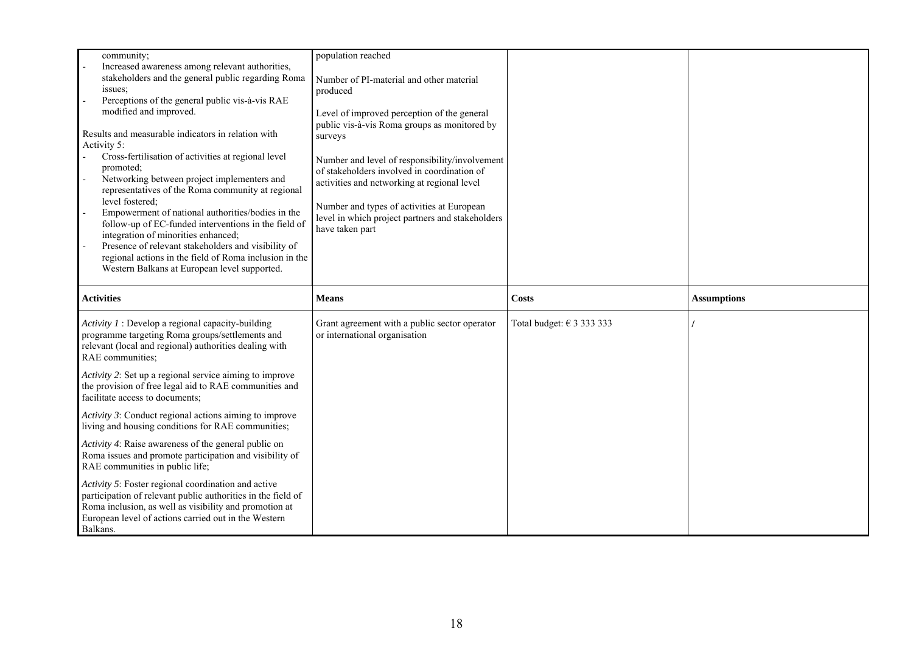| community;<br>Increased awareness among relevant authorities,<br>stakeholders and the general public regarding Roma<br>issues;<br>Perceptions of the general public vis-à-vis RAE<br>modified and improved.<br>Results and measurable indicators in relation with<br>Activity 5:<br>Cross-fertilisation of activities at regional level<br>promoted;<br>Networking between project implementers and<br>representatives of the Roma community at regional<br>level fostered;<br>Empowerment of national authorities/bodies in the<br>follow-up of EC-funded interventions in the field of<br>integration of minorities enhanced;<br>Presence of relevant stakeholders and visibility of<br>regional actions in the field of Roma inclusion in the<br>Western Balkans at European level supported. | population reached<br>Number of PI-material and other material<br>produced<br>Level of improved perception of the general<br>public vis-à-vis Roma groups as monitored by<br>surveys<br>Number and level of responsibility/involvement<br>of stakeholders involved in coordination of<br>activities and networking at regional level<br>Number and types of activities at European<br>level in which project partners and stakeholders<br>have taken part |                                    |                    |
|--------------------------------------------------------------------------------------------------------------------------------------------------------------------------------------------------------------------------------------------------------------------------------------------------------------------------------------------------------------------------------------------------------------------------------------------------------------------------------------------------------------------------------------------------------------------------------------------------------------------------------------------------------------------------------------------------------------------------------------------------------------------------------------------------|-----------------------------------------------------------------------------------------------------------------------------------------------------------------------------------------------------------------------------------------------------------------------------------------------------------------------------------------------------------------------------------------------------------------------------------------------------------|------------------------------------|--------------------|
| <b>Activities</b>                                                                                                                                                                                                                                                                                                                                                                                                                                                                                                                                                                                                                                                                                                                                                                                | <b>Means</b>                                                                                                                                                                                                                                                                                                                                                                                                                                              | <b>Costs</b>                       | <b>Assumptions</b> |
| Activity $I$ : Develop a regional capacity-building<br>programme targeting Roma groups/settlements and<br>relevant (local and regional) authorities dealing with<br>RAE communities;<br>Activity 2: Set up a regional service aiming to improve                                                                                                                                                                                                                                                                                                                                                                                                                                                                                                                                                  | Grant agreement with a public sector operator<br>or international organisation                                                                                                                                                                                                                                                                                                                                                                            | Total budget: $\epsilon$ 3 333 333 |                    |
| the provision of free legal aid to RAE communities and<br>facilitate access to documents;                                                                                                                                                                                                                                                                                                                                                                                                                                                                                                                                                                                                                                                                                                        |                                                                                                                                                                                                                                                                                                                                                                                                                                                           |                                    |                    |
| Activity 3: Conduct regional actions aiming to improve<br>living and housing conditions for RAE communities;                                                                                                                                                                                                                                                                                                                                                                                                                                                                                                                                                                                                                                                                                     |                                                                                                                                                                                                                                                                                                                                                                                                                                                           |                                    |                    |
| Activity 4: Raise awareness of the general public on<br>Roma issues and promote participation and visibility of<br>RAE communities in public life;                                                                                                                                                                                                                                                                                                                                                                                                                                                                                                                                                                                                                                               |                                                                                                                                                                                                                                                                                                                                                                                                                                                           |                                    |                    |
| Activity 5: Foster regional coordination and active<br>participation of relevant public authorities in the field of<br>Roma inclusion, as well as visibility and promotion at<br>European level of actions carried out in the Western                                                                                                                                                                                                                                                                                                                                                                                                                                                                                                                                                            |                                                                                                                                                                                                                                                                                                                                                                                                                                                           |                                    |                    |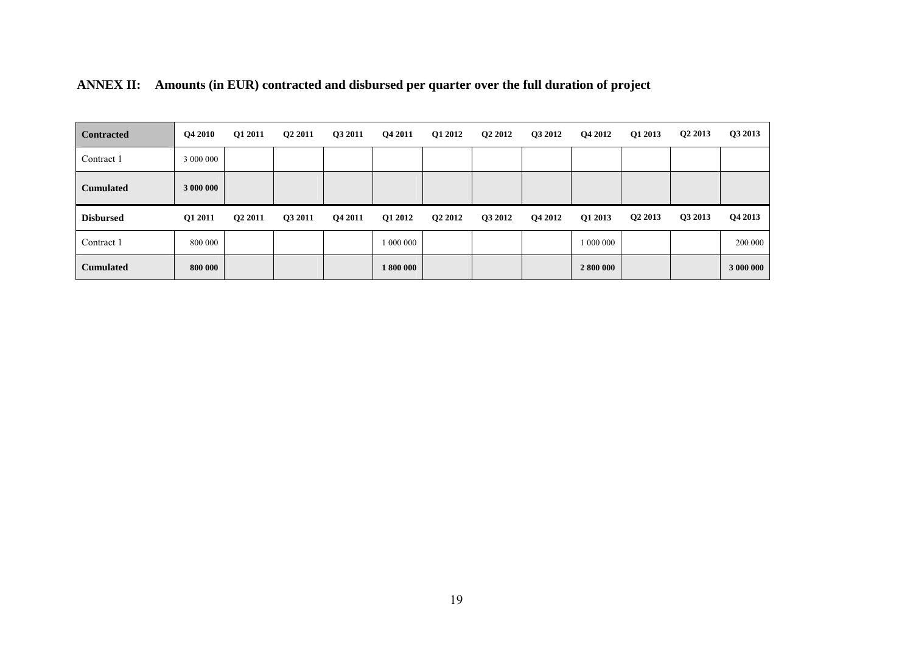| <b>Contracted</b> | Q4 2010   | Q1 2011 | Q2 2011 | Q3 2011 | Q4 2011   | Q1 2012 | Q <sub>2</sub> 2012 | Q3 2012 | Q4 2012   | Q1 2013             | Q <sub>2</sub> 2013 | Q3 2013 |
|-------------------|-----------|---------|---------|---------|-----------|---------|---------------------|---------|-----------|---------------------|---------------------|---------|
| Contract 1        | 3 000 000 |         |         |         |           |         |                     |         |           |                     |                     |         |
| <b>Cumulated</b>  | 3 000 000 |         |         |         |           |         |                     |         |           |                     |                     |         |
|                   |           |         |         |         |           |         |                     |         |           |                     |                     |         |
| <b>Disbursed</b>  | Q1 2011   | Q2 2011 | Q3 2011 | Q4 2011 | Q1 2012   | Q2 2012 | Q3 2012             | Q4 2012 | Q1 2013   | Q <sub>2</sub> 2013 | Q3 2013             | Q4 2013 |
| Contract 1        | 800 000   |         |         |         | 1 000 000 |         |                     |         | 1 000 000 |                     |                     | 200 000 |

|  |  | ANNEX II: Amounts (in EUR) contracted and disbursed per quarter over the full duration of project |  |  |  |
|--|--|---------------------------------------------------------------------------------------------------|--|--|--|
|--|--|---------------------------------------------------------------------------------------------------|--|--|--|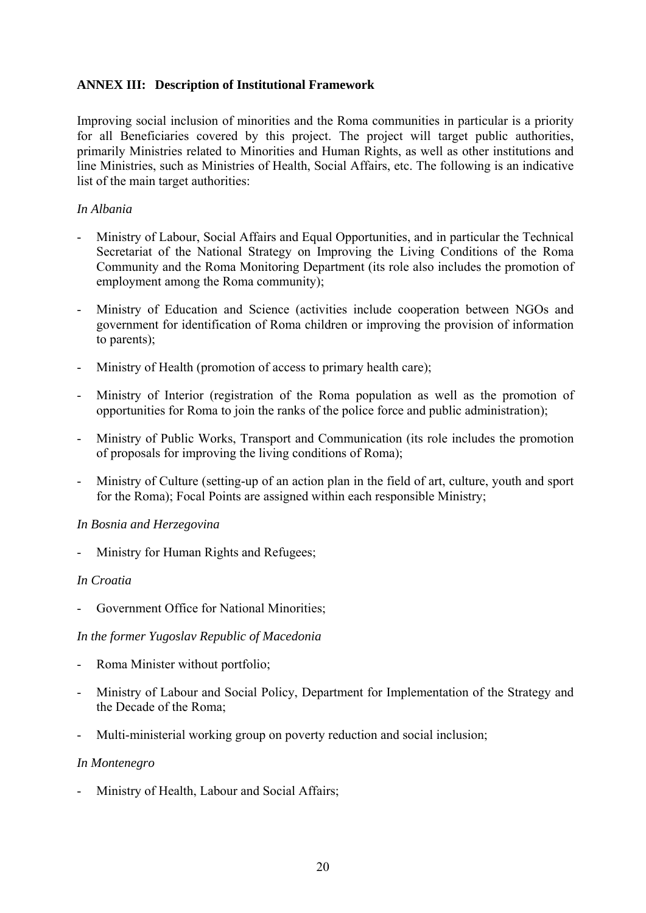# **ANNEX III: Description of Institutional Framework**

Improving social inclusion of minorities and the Roma communities in particular is a priority for all Beneficiaries covered by this project. The project will target public authorities, primarily Ministries related to Minorities and Human Rights, as well as other institutions and line Ministries, such as Ministries of Health, Social Affairs, etc. The following is an indicative list of the main target authorities:

#### *In Albania*

- Ministry of Labour, Social Affairs and Equal Opportunities, and in particular the Technical Secretariat of the National Strategy on Improving the Living Conditions of the Roma Community and the Roma Monitoring Department (its role also includes the promotion of employment among the Roma community);
- Ministry of Education and Science (activities include cooperation between NGOs and government for identification of Roma children or improving the provision of information to parents);
- Ministry of Health (promotion of access to primary health care);
- Ministry of Interior (registration of the Roma population as well as the promotion of opportunities for Roma to join the ranks of the police force and public administration);
- Ministry of Public Works, Transport and Communication (its role includes the promotion of proposals for improving the living conditions of Roma);
- Ministry of Culture (setting-up of an action plan in the field of art, culture, youth and sport for the Roma); Focal Points are assigned within each responsible Ministry;

#### *In Bosnia and Herzegovina*

Ministry for Human Rights and Refugees;

#### *In Croatia*

- Government Office for National Minorities;

#### *In the former Yugoslav Republic of Macedonia*

- Roma Minister without portfolio;
- Ministry of Labour and Social Policy, Department for Implementation of the Strategy and the Decade of the Roma;
- Multi-ministerial working group on poverty reduction and social inclusion;

#### *In Montenegro*

Ministry of Health, Labour and Social Affairs;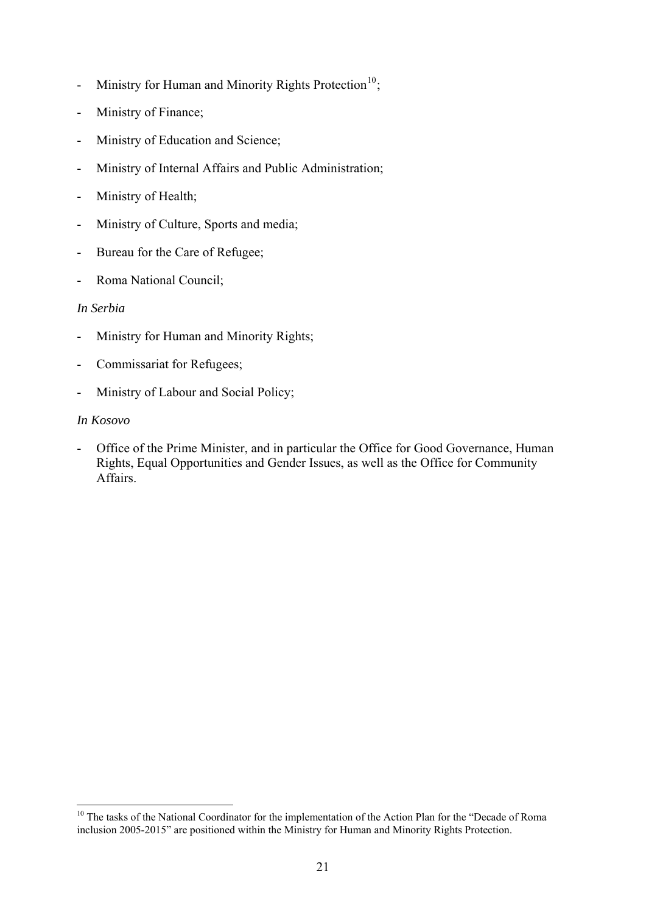- <span id="page-20-0"></span>Ministry for Human and Minority Rights Protection<sup>[10](#page-20-0)</sup>;
- Ministry of Finance;
- Ministry of Education and Science;
- Ministry of Internal Affairs and Public Administration;
- Ministry of Health;
- Ministry of Culture, Sports and media;
- Bureau for the Care of Refugee;
- Roma National Council;

## *In Serbia*

- Ministry for Human and Minority Rights;
- Commissariat for Refugees;
- Ministry of Labour and Social Policy;

## *In Kosovo*

<u>.</u>

Office of the Prime Minister, and in particular the Office for Good Governance, Human Rights, Equal Opportunities and Gender Issues, as well as the Office for Community Affairs.

<sup>&</sup>lt;sup>10</sup> The tasks of the National Coordinator for the implementation of the Action Plan for the "Decade of Roma inclusion 2005-2015" are positioned within the Ministry for Human and Minority Rights Protection.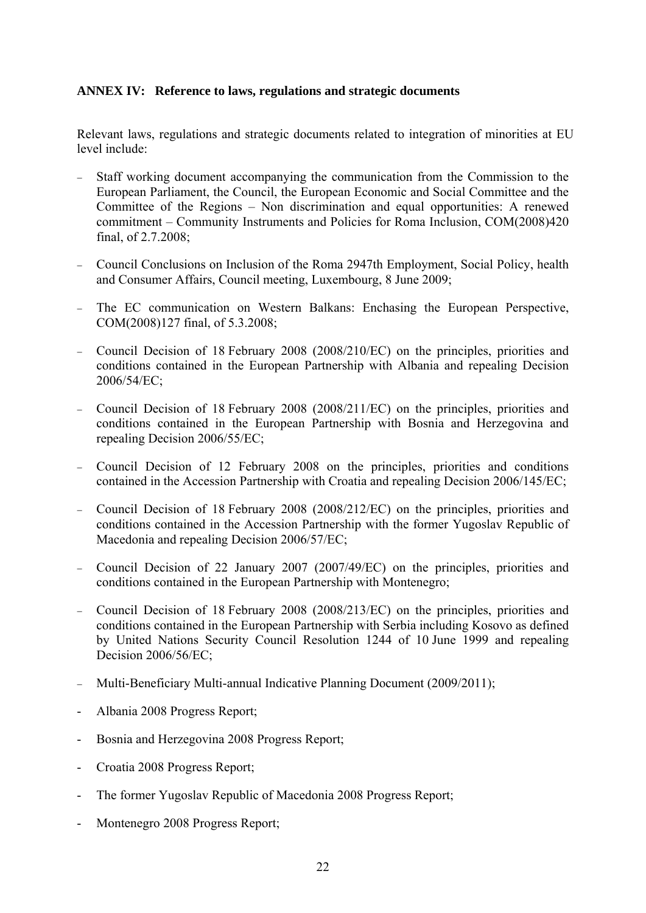## **ANNEX IV: Reference to laws, regulations and strategic documents**

Relevant laws, regulations and strategic documents related to integration of minorities at EU level include:

- Staff working document accompanying the communication from the Commission to the European Parliament, the Council, the European Economic and Social Committee and the Committee of the Regions – Non discrimination and equal opportunities: A renewed commitment – Community Instruments and Policies for Roma Inclusion, COM(2008)420 final, of 2.7.2008;
- − Council Conclusions on Inclusion of the Roma 2947th Employment, Social Policy, health and Consumer Affairs, Council meeting, Luxembourg, 8 June 2009;
- The EC communication on Western Balkans: Enchasing the European Perspective, COM(2008)127 final, of 5.3.2008;
- − Council Decision of 18 February 2008 (2008/210/EC) on the principles, priorities and conditions contained in the European Partnership with Albania and repealing Decision 2006/54/EC;
- − Council Decision of 18 February 2008 (2008/211/EC) on the principles, priorities and conditions contained in the European Partnership with Bosnia and Herzegovina and repealing Decision 2006/55/EC;
- − Council Decision of 12 February 2008 on the principles, priorities and conditions contained in the Accession Partnership with Croatia and repealing Decision 2006/145/EC;
- − Council Decision of 18 February 2008 (2008/212/EC) on the principles, priorities and conditions contained in the Accession Partnership with the former Yugoslav Republic of Macedonia and repealing Decision 2006/57/EC;
- − Council Decision of 22 January 2007 (2007/49/EC) on the principles, priorities and conditions contained in the European Partnership with Montenegro;
- − Council Decision of 18 February 2008 (2008/213/EC) on the principles, priorities and conditions contained in the European Partnership with Serbia including Kosovo as defined by United Nations Security Council Resolution 1244 of 10 June 1999 and repealing Decision 2006/56/EC;
- − Multi-Beneficiary Multi-annual Indicative Planning Document (2009/2011);
- Albania 2008 Progress Report;
- Bosnia and Herzegovina 2008 Progress Report;
- Croatia 2008 Progress Report;
- The former Yugoslav Republic of Macedonia 2008 Progress Report;
- Montenegro 2008 Progress Report;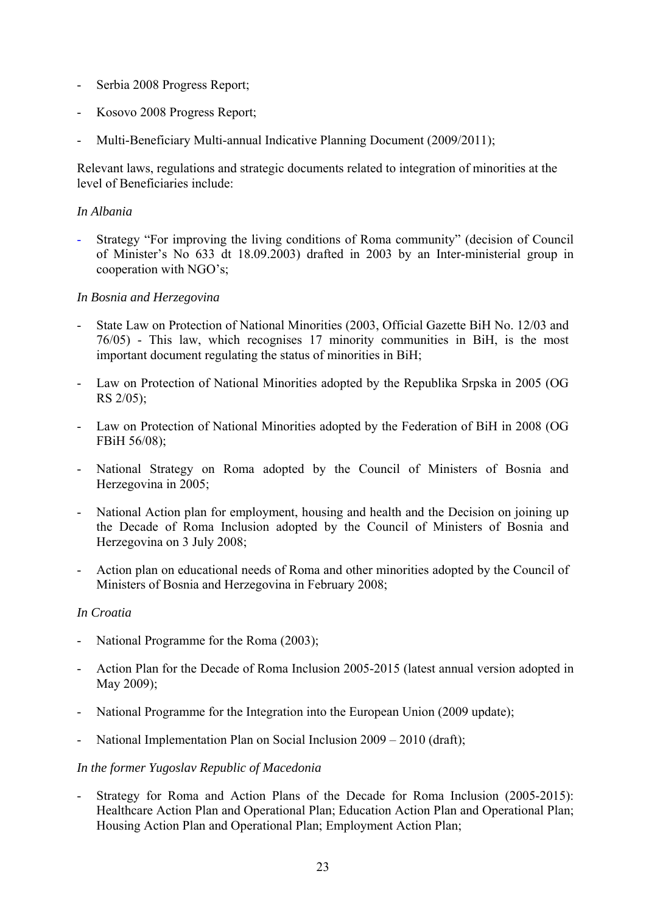- Serbia 2008 Progress Report;
- Kosovo 2008 Progress Report;
- Multi-Beneficiary Multi-annual Indicative Planning Document (2009/2011);

Relevant laws, regulations and strategic documents related to integration of minorities at the level of Beneficiaries include:

### *In Albania*

- Strategy "For improving the living conditions of Roma community" (decision of Council of Minister's No 633 dt 18.09.2003) drafted in 2003 by an Inter-ministerial group in cooperation with NGO's;

## *In Bosnia and Herzegovina*

- State Law on Protection of National Minorities (2003, Official Gazette BiH No. 12/03 and 76/05) - This law, which recognises 17 minority communities in BiH, is the most important document regulating the status of minorities in BiH;
- Law on Protection of National Minorities adopted by the Republika Srpska in 2005 (OG RS 2/05);
- Law on Protection of National Minorities adopted by the Federation of BiH in 2008 (OG FBiH 56/08);
- National Strategy on Roma adopted by the Council of Ministers of Bosnia and Herzegovina in 2005;
- National Action plan for employment, housing and health and the Decision on joining up the Decade of Roma Inclusion adopted by the Council of Ministers of Bosnia and Herzegovina on 3 July 2008;
- Action plan on educational needs of Roma and other minorities adopted by the Council of Ministers of Bosnia and Herzegovina in February 2008;

#### *In Croatia*

- National Programme for the Roma (2003);
- Action Plan for the Decade of Roma Inclusion 2005-2015 (latest annual version adopted in May 2009);
- National Programme for the Integration into the European Union (2009 update);
- National Implementation Plan on Social Inclusion 2009 2010 (draft);

#### *In the former Yugoslav Republic of Macedonia*

Strategy for Roma and Action Plans of the Decade for Roma Inclusion (2005-2015): Healthcare Action Plan and Operational Plan; Education Action Plan and Operational Plan; Housing Action Plan and Operational Plan; Employment Action Plan;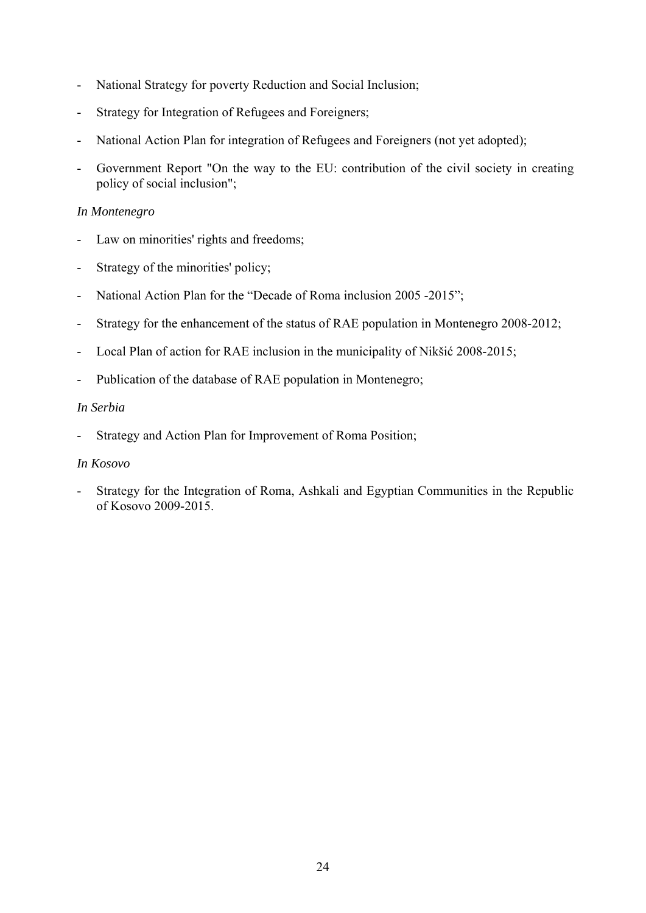- National Strategy for poverty Reduction and Social Inclusion;
- Strategy for Integration of Refugees and Foreigners;
- National Action Plan for integration of Refugees and Foreigners (not yet adopted);
- Government Report "On the way to the EU: contribution of the civil society in creating policy of social inclusion";

#### *In Montenegro*

- Law on minorities' rights and freedoms;
- Strategy of the minorities' policy;
- National Action Plan for the "Decade of Roma inclusion 2005 -2015";
- Strategy for the enhancement of the status of RAE population in Montenegro 2008-2012;
- Local Plan of action for RAE inclusion in the municipality of Nikšić 2008-2015;
- Publication of the database of RAE population in Montenegro;

#### *In Serbia*

Strategy and Action Plan for Improvement of Roma Position;

#### *In Kosovo*

- Strategy for the Integration of Roma, Ashkali and Egyptian Communities in the Republic of Kosovo 2009-2015.